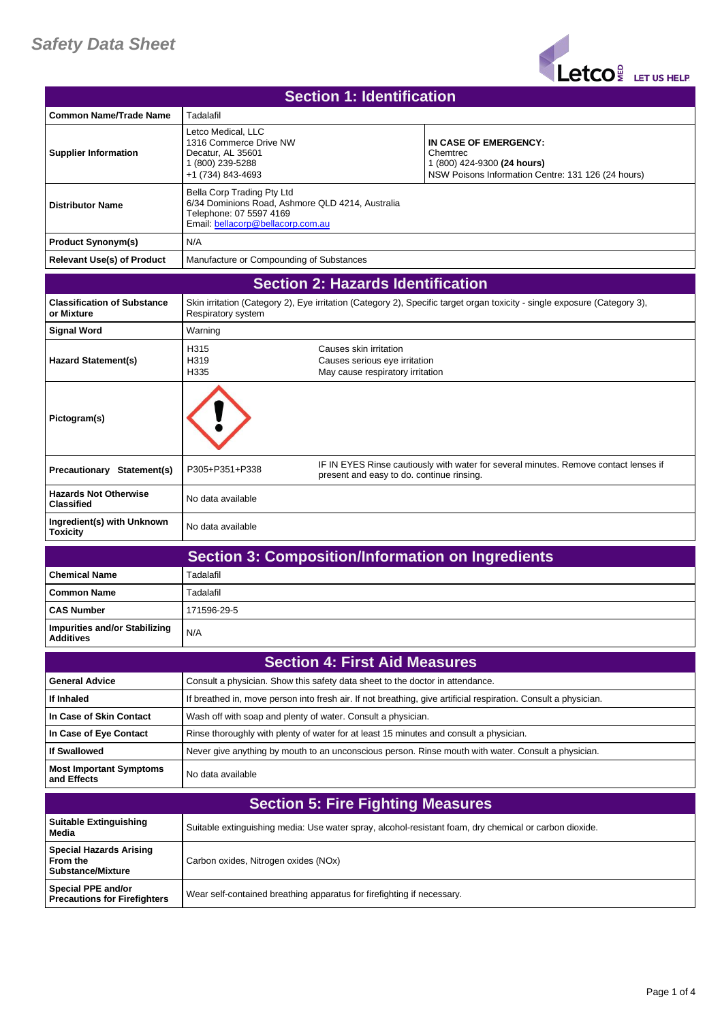## *Safety Data Sheet*



| <b>Section 1: Identification</b>                                       |                                                                                                                                                |                                                                                             |                                                                                                                           |
|------------------------------------------------------------------------|------------------------------------------------------------------------------------------------------------------------------------------------|---------------------------------------------------------------------------------------------|---------------------------------------------------------------------------------------------------------------------------|
| <b>Common Name/Trade Name</b>                                          | Tadalafil                                                                                                                                      |                                                                                             |                                                                                                                           |
| <b>Supplier Information</b>                                            | Letco Medical, LLC<br>1316 Commerce Drive NW<br>Decatur, AL 35601<br>1 (800) 239-5288<br>+1 (734) 843-4693                                     |                                                                                             | IN CASE OF EMERGENCY:<br>Chemtrec<br>1 (800) 424-9300 (24 hours)<br>NSW Poisons Information Centre: 131 126 (24 hours)    |
| <b>Distributor Name</b>                                                | Bella Corp Trading Pty Ltd<br>6/34 Dominions Road, Ashmore QLD 4214, Australia<br>Telephone: 07 5597 4169<br>Email: bellacorp@bellacorp.com.au |                                                                                             |                                                                                                                           |
| <b>Product Synonym(s)</b>                                              | N/A                                                                                                                                            |                                                                                             |                                                                                                                           |
| <b>Relevant Use(s) of Product</b>                                      | Manufacture or Compounding of Substances                                                                                                       |                                                                                             |                                                                                                                           |
| <b>Section 2: Hazards Identification</b>                               |                                                                                                                                                |                                                                                             |                                                                                                                           |
| <b>Classification of Substance</b><br>or Mixture                       | Respiratory system                                                                                                                             |                                                                                             | Skin irritation (Category 2), Eye irritation (Category 2), Specific target organ toxicity - single exposure (Category 3), |
| Signal Word                                                            | Warning                                                                                                                                        |                                                                                             |                                                                                                                           |
| <b>Hazard Statement(s)</b>                                             | H315<br>H319<br>H335                                                                                                                           | Causes skin irritation<br>Causes serious eye irritation<br>May cause respiratory irritation |                                                                                                                           |
| Pictogram(s)                                                           |                                                                                                                                                |                                                                                             |                                                                                                                           |
| <b>Precautionary Statement(s)</b>                                      | P305+P351+P338                                                                                                                                 | present and easy to do. continue rinsing.                                                   | IF IN EYES Rinse cautiously with water for several minutes. Remove contact lenses if                                      |
| <b>Hazards Not Otherwise</b><br><b>Classified</b>                      | No data available                                                                                                                              |                                                                                             |                                                                                                                           |
| Ingredient(s) with Unknown<br><b>Toxicity</b>                          | No data available                                                                                                                              |                                                                                             |                                                                                                                           |
|                                                                        |                                                                                                                                                |                                                                                             | <b>Section 3: Composition/Information on Ingredients</b>                                                                  |
| <b>Chemical Name</b>                                                   | Tadalafil                                                                                                                                      |                                                                                             |                                                                                                                           |
| Common Name                                                            | Tadalafil                                                                                                                                      |                                                                                             |                                                                                                                           |
| <b>CAS Number</b>                                                      | 171596-29-5                                                                                                                                    |                                                                                             |                                                                                                                           |
| Impurities and/or Stabilizing<br><b>Additives</b>                      | N/A                                                                                                                                            |                                                                                             |                                                                                                                           |
|                                                                        |                                                                                                                                                | <b>Section 4: First Aid Measures</b>                                                        |                                                                                                                           |
| <b>General Advice</b>                                                  | Consult a physician. Show this safety data sheet to the doctor in attendance.                                                                  |                                                                                             |                                                                                                                           |
| If Inhaled                                                             |                                                                                                                                                |                                                                                             | If breathed in, move person into fresh air. If not breathing, give artificial respiration. Consult a physician.           |
| In Case of Skin Contact                                                | Wash off with soap and plenty of water. Consult a physician.                                                                                   |                                                                                             |                                                                                                                           |
| In Case of Eye Contact                                                 | Rinse thoroughly with plenty of water for at least 15 minutes and consult a physician.                                                         |                                                                                             |                                                                                                                           |
| <b>If Swallowed</b>                                                    |                                                                                                                                                |                                                                                             | Never give anything by mouth to an unconscious person. Rinse mouth with water. Consult a physician.                       |
| <b>Most Important Symptoms</b><br>and Effects                          | No data available                                                                                                                              |                                                                                             |                                                                                                                           |
|                                                                        |                                                                                                                                                | <b>Section 5: Fire Fighting Measures</b>                                                    |                                                                                                                           |
| <b>Suitable Extinguishing</b><br>Media                                 |                                                                                                                                                |                                                                                             | Suitable extinguishing media: Use water spray, alcohol-resistant foam, dry chemical or carbon dioxide.                    |
| <b>Special Hazards Arising</b><br>From the<br><b>Substance/Mixture</b> | Carbon oxides, Nitrogen oxides (NOx)                                                                                                           |                                                                                             |                                                                                                                           |
| Special PPE and/or<br><b>Precautions for Firefighters</b>              | Wear self-contained breathing apparatus for firefighting if necessary.                                                                         |                                                                                             |                                                                                                                           |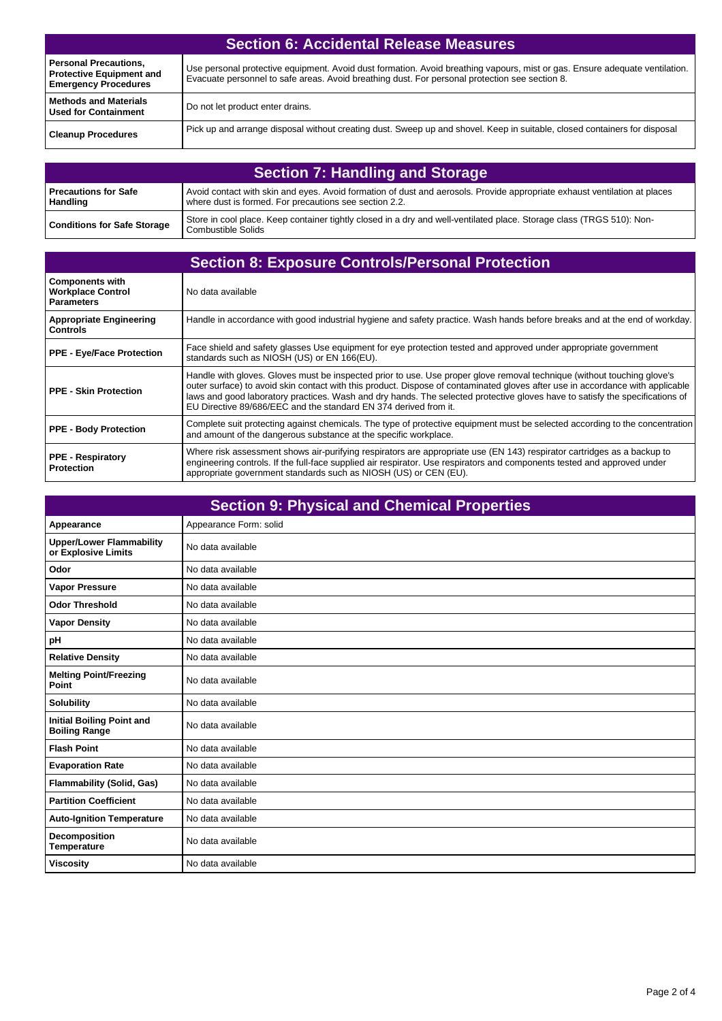| <b>Section 6: Accidental Release Measures</b>                                                  |                                                                                                                                                                                                                               |  |
|------------------------------------------------------------------------------------------------|-------------------------------------------------------------------------------------------------------------------------------------------------------------------------------------------------------------------------------|--|
| <b>Personal Precautions,</b><br><b>Protective Equipment and</b><br><b>Emergency Procedures</b> | Use personal protective equipment. Avoid dust formation. Avoid breathing vapours, mist or gas. Ensure adequate ventilation.<br>Evacuate personnel to safe areas. Avoid breathing dust. For personal protection see section 8. |  |
| <b>Methods and Materials</b><br><b>Used for Containment</b>                                    | Do not let product enter drains.                                                                                                                                                                                              |  |
| <b>Cleanup Procedures</b>                                                                      | Pick up and arrange disposal without creating dust. Sweep up and shovel. Keep in suitable, closed containers for disposal                                                                                                     |  |

| <b>Section 7: Handling and Storage</b>    |                                                                                                                                                                                     |  |
|-------------------------------------------|-------------------------------------------------------------------------------------------------------------------------------------------------------------------------------------|--|
| l Precautions for Safe<br><b>Handling</b> | Avoid contact with skin and eyes. Avoid formation of dust and aerosols. Provide appropriate exhaust ventilation at places<br>where dust is formed. For precautions see section 2.2. |  |
| <b>Conditions for Safe Storage</b>        | Store in cool place. Keep container tightly closed in a dry and well-ventilated place. Storage class (TRGS 510): Non-<br>Combustible Solids                                         |  |

| <b>Section 8: Exposure Controls/Personal Protection</b>                 |                                                                                                                                                                                                                                                                                                                                                                                                                                                               |  |
|-------------------------------------------------------------------------|---------------------------------------------------------------------------------------------------------------------------------------------------------------------------------------------------------------------------------------------------------------------------------------------------------------------------------------------------------------------------------------------------------------------------------------------------------------|--|
| <b>Components with</b><br><b>Workplace Control</b><br><b>Parameters</b> | No data available                                                                                                                                                                                                                                                                                                                                                                                                                                             |  |
| <b>Appropriate Engineering</b><br><b>Controls</b>                       | Handle in accordance with good industrial hygiene and safety practice. Wash hands before breaks and at the end of workday.                                                                                                                                                                                                                                                                                                                                    |  |
| <b>PPE - Eye/Face Protection</b>                                        | Face shield and safety glasses Use equipment for eye protection tested and approved under appropriate government<br>standards such as NIOSH (US) or EN 166(EU).                                                                                                                                                                                                                                                                                               |  |
| <b>PPE - Skin Protection</b>                                            | Handle with gloves. Gloves must be inspected prior to use. Use proper glove removal technique (without touching glove's<br>outer surface) to avoid skin contact with this product. Dispose of contaminated gloves after use in accordance with applicable<br>laws and good laboratory practices. Wash and dry hands. The selected protective gloves have to satisfy the specifications of<br>EU Directive 89/686/EEC and the standard EN 374 derived from it. |  |
| <b>PPE - Body Protection</b>                                            | Complete suit protecting against chemicals. The type of protective equipment must be selected according to the concentration<br>and amount of the dangerous substance at the specific workplace.                                                                                                                                                                                                                                                              |  |
| <b>PPE - Respiratory</b><br><b>Protection</b>                           | Where risk assessment shows air-purifying respirators are appropriate use (EN 143) respirator cartridges as a backup to<br>engineering controls. If the full-face supplied air respirator. Use respirators and components tested and approved under<br>appropriate government standards such as NIOSH (US) or CEN (EU).                                                                                                                                       |  |

| <b>Section 9: Physical and Chemical Properties</b>       |                        |  |
|----------------------------------------------------------|------------------------|--|
| Appearance                                               | Appearance Form: solid |  |
| <b>Upper/Lower Flammability</b><br>or Explosive Limits   | No data available      |  |
| Odor                                                     | No data available      |  |
| <b>Vapor Pressure</b>                                    | No data available      |  |
| <b>Odor Threshold</b>                                    | No data available      |  |
| <b>Vapor Density</b>                                     | No data available      |  |
| рH                                                       | No data available      |  |
| <b>Relative Density</b>                                  | No data available      |  |
| <b>Melting Point/Freezing</b><br>Point                   | No data available      |  |
| <b>Solubility</b>                                        | No data available      |  |
| <b>Initial Boiling Point and</b><br><b>Boiling Range</b> | No data available      |  |
| <b>Flash Point</b>                                       | No data available      |  |
| <b>Evaporation Rate</b>                                  | No data available      |  |
| <b>Flammability (Solid, Gas)</b>                         | No data available      |  |
| <b>Partition Coefficient</b>                             | No data available      |  |
| <b>Auto-Ignition Temperature</b>                         | No data available      |  |
| Decomposition<br><b>Temperature</b>                      | No data available      |  |
| <b>Viscosity</b>                                         | No data available      |  |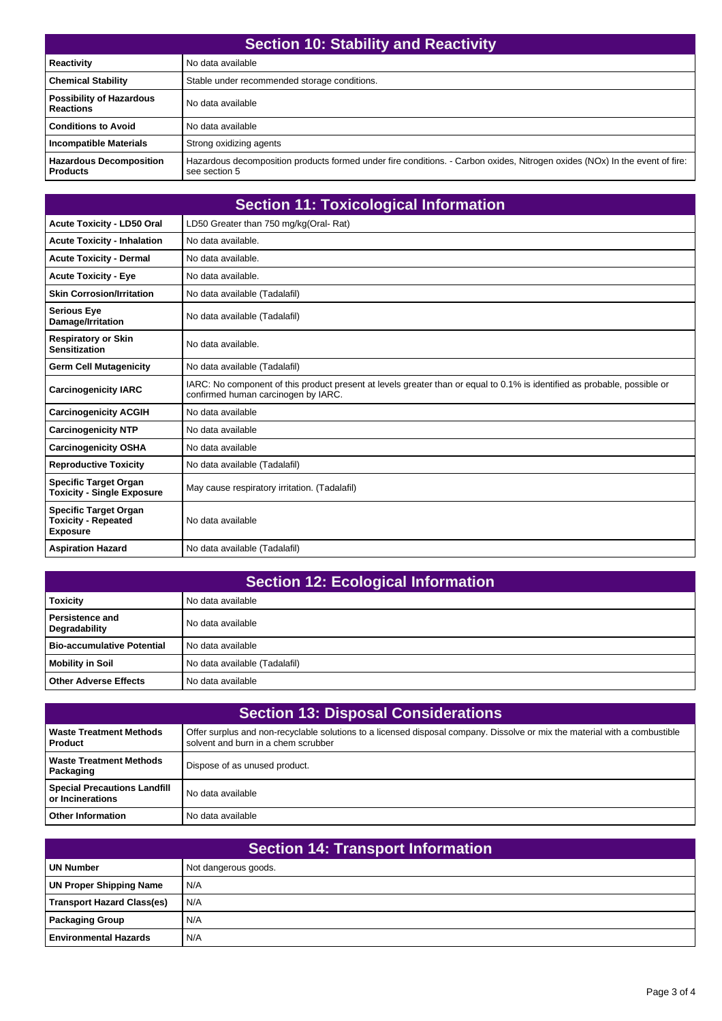| <b>Section 10: Stability and Reactivity</b>         |                                                                                                                                              |  |
|-----------------------------------------------------|----------------------------------------------------------------------------------------------------------------------------------------------|--|
| <b>Reactivity</b>                                   | No data available                                                                                                                            |  |
| <b>Chemical Stability</b>                           | Stable under recommended storage conditions.                                                                                                 |  |
| <b>Possibility of Hazardous</b><br><b>Reactions</b> | No data available                                                                                                                            |  |
| <b>Conditions to Avoid</b>                          | No data available                                                                                                                            |  |
| <b>Incompatible Materials</b>                       | Strong oxidizing agents                                                                                                                      |  |
| <b>Hazardous Decomposition</b><br><b>Products</b>   | Hazardous decomposition products formed under fire conditions. - Carbon oxides, Nitrogen oxides (NOx) In the event of fire:<br>see section 5 |  |

| <b>Section 11: Toxicological Information</b>                                  |                                                                                                                                                                  |  |
|-------------------------------------------------------------------------------|------------------------------------------------------------------------------------------------------------------------------------------------------------------|--|
| <b>Acute Toxicity - LD50 Oral</b>                                             | LD50 Greater than 750 mg/kg(Oral-Rat)                                                                                                                            |  |
| <b>Acute Toxicity - Inhalation</b>                                            | No data available.                                                                                                                                               |  |
| <b>Acute Toxicity - Dermal</b>                                                | No data available.                                                                                                                                               |  |
| <b>Acute Toxicity - Eye</b>                                                   | No data available.                                                                                                                                               |  |
| <b>Skin Corrosion/Irritation</b>                                              | No data available (Tadalafil)                                                                                                                                    |  |
| <b>Serious Eye</b><br>Damage/Irritation                                       | No data available (Tadalafil)                                                                                                                                    |  |
| <b>Respiratory or Skin</b><br><b>Sensitization</b>                            | No data available.                                                                                                                                               |  |
| <b>Germ Cell Mutagenicity</b>                                                 | No data available (Tadalafil)                                                                                                                                    |  |
| <b>Carcinogenicity IARC</b>                                                   | IARC: No component of this product present at levels greater than or equal to 0.1% is identified as probable, possible or<br>confirmed human carcinogen by IARC. |  |
| <b>Carcinogenicity ACGIH</b>                                                  | No data available                                                                                                                                                |  |
| <b>Carcinogenicity NTP</b>                                                    | No data available                                                                                                                                                |  |
| <b>Carcinogenicity OSHA</b>                                                   | No data available                                                                                                                                                |  |
| <b>Reproductive Toxicity</b>                                                  | No data available (Tadalafil)                                                                                                                                    |  |
| <b>Specific Target Organ</b><br><b>Toxicity - Single Exposure</b>             | May cause respiratory irritation. (Tadalafil)                                                                                                                    |  |
| <b>Specific Target Organ</b><br><b>Toxicity - Repeated</b><br><b>Exposure</b> | No data available                                                                                                                                                |  |
| <b>Aspiration Hazard</b>                                                      | No data available (Tadalafil)                                                                                                                                    |  |

| <b>Section 12: Ecological Information</b> |                               |  |
|-------------------------------------------|-------------------------------|--|
| <b>Toxicity</b>                           | No data available             |  |
| l Persistence and<br>Degradability        | No data available             |  |
| Bio-accumulative Potential                | No data available             |  |
| <b>Mobility in Soil</b>                   | No data available (Tadalafil) |  |
| Other Adverse Effects                     | No data available             |  |

| <b>Section 13: Disposal Considerations</b>              |                                                                                                                                                                   |  |
|---------------------------------------------------------|-------------------------------------------------------------------------------------------------------------------------------------------------------------------|--|
| <b>Waste Treatment Methods</b><br><b>Product</b>        | Offer surplus and non-recyclable solutions to a licensed disposal company. Dissolve or mix the material with a combustible<br>solvent and burn in a chem scrubber |  |
| <b>Waste Treatment Methods</b><br>Packaging             | Dispose of as unused product.                                                                                                                                     |  |
| <b>Special Precautions Landfill</b><br>or Incinerations | No data available                                                                                                                                                 |  |
| <b>Other Information</b>                                | No data available                                                                                                                                                 |  |

| <b>Section 14: Transport Information</b> |                      |  |
|------------------------------------------|----------------------|--|
| <b>UN Number</b>                         | Not dangerous goods. |  |
| <b>UN Proper Shipping Name</b>           | N/A                  |  |
| <b>Transport Hazard Class(es)</b>        | N/A                  |  |
| <b>Packaging Group</b>                   | N/A                  |  |
| <b>Environmental Hazards</b>             | N/A                  |  |